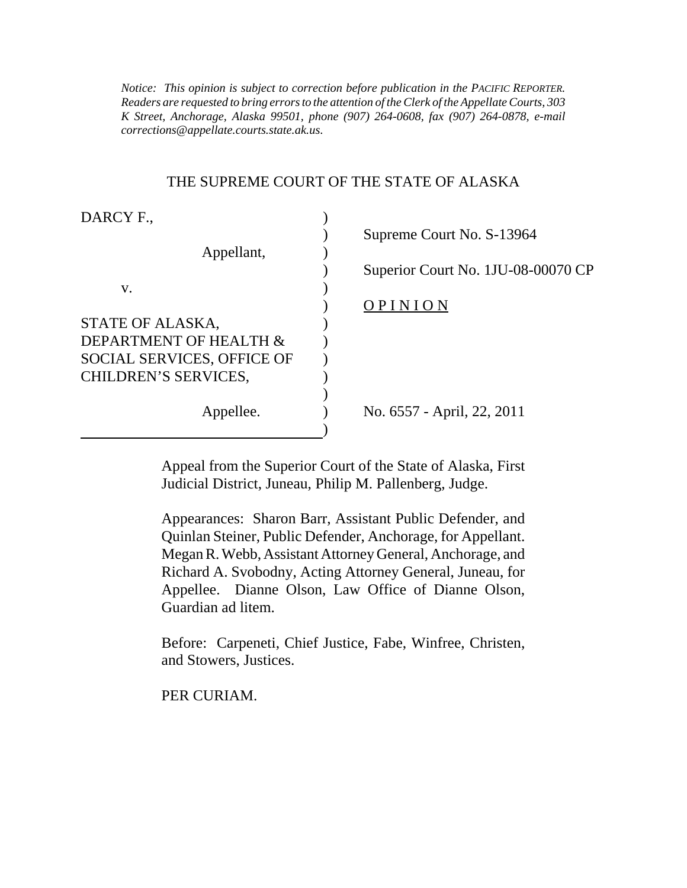*K Street, Anchorage, Alaska 99501, phone (907) 264-0608, fax (907) 264-0878, e-mail Notice: This opinion is subject to correction before publication in the PACIFIC REPORTER. Readers are requested to bring errors to the attention of the Clerk of the Appellate Courts, 303 corrections@appellate.courts.state.ak.us*.

#### THE SUPREME COURT OF THE STATE OF ALASKA

| DARCY F.,                         |                                    |
|-----------------------------------|------------------------------------|
|                                   | Supreme Court No. S-13964          |
| Appellant,                        |                                    |
|                                   | Superior Court No. 1JU-08-00070 CP |
| v.                                |                                    |
|                                   | OPINION                            |
| STATE OF ALASKA,                  |                                    |
| DEPARTMENT OF HEALTH &            |                                    |
| <b>SOCIAL SERVICES, OFFICE OF</b> |                                    |
| CHILDREN'S SERVICES,              |                                    |
|                                   |                                    |
| Appellee.                         | No. 6557 - April, 22, 2011         |
|                                   |                                    |

Appeal from the Superior Court of the State of Alaska, First Judicial District, Juneau, Philip M. Pallenberg, Judge.

Appearances: Sharon Barr, Assistant Public Defender, and Quinlan Steiner, Public Defender, Anchorage, for Appellant. Megan R. Webb, Assistant Attorney General, Anchorage, and Richard A. Svobodny, Acting Attorney General, Juneau, for Appellee. Dianne Olson, Law Office of Dianne Olson, Guardian ad litem.

Before: Carpeneti, Chief Justice, Fabe, Winfree, Christen, and Stowers, Justices.

PER CURIAM.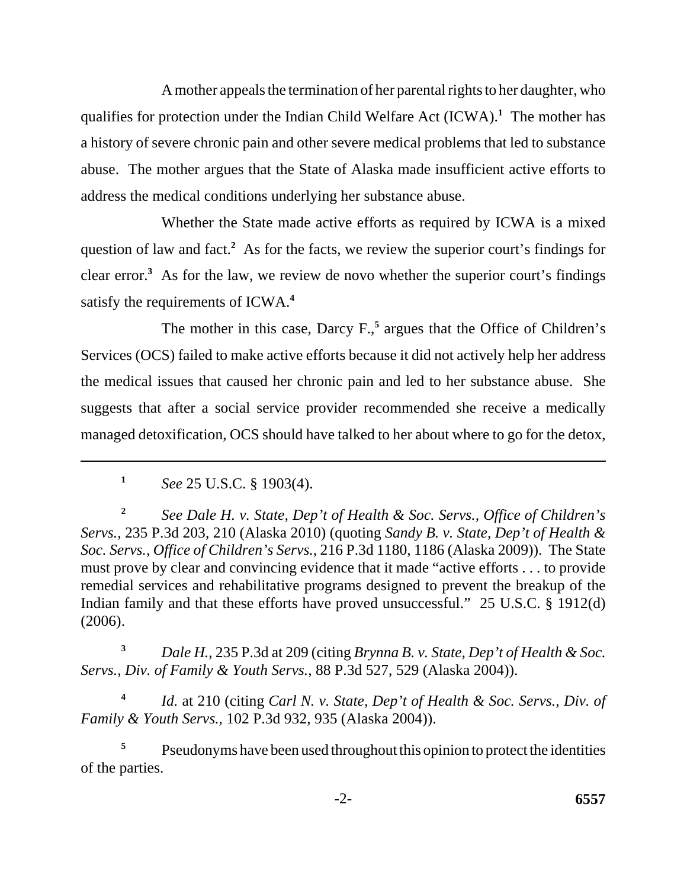A mother appeals the termination of her parental rights to her daughter, who qualifies for protection under the Indian Child Welfare Act (ICWA).**<sup>1</sup>** The mother has a history of severe chronic pain and other severe medical problems that led to substance abuse. The mother argues that the State of Alaska made insufficient active efforts to address the medical conditions underlying her substance abuse.

Whether the State made active efforts as required by ICWA is a mixed question of law and fact.<sup>2</sup> As for the facts, we review the superior court's findings for clear error.**<sup>3</sup>** As for the law, we review de novo whether the superior court's findings satisfy the requirements of ICWA.**<sup>4</sup>**

The mother in this case, Darcy F.,<sup>5</sup> argues that the Office of Children's Services (OCS) failed to make active efforts because it did not actively help her address the medical issues that caused her chronic pain and led to her substance abuse. She suggests that after a social service provider recommended she receive a medically managed detoxification, OCS should have talked to her about where to go for the detox,

**<sup>3</sup>***Dale H.*, 235 P.3d at 209 (citing *Brynna B. v. State, Dep't of Health & Soc. Servs., Div. of Family & Youth Servs.*, 88 P.3d 527, 529 (Alaska 2004)).

**<sup>4</sup>***Id.* at 210 (citing *Carl N. v. State, Dep't of Health & Soc. Servs., Div. of Family & Youth Servs.*, 102 P.3d 932, 935 (Alaska 2004)).

**<sup>5</sup>**Pseudonyms have been used throughout this opinion to protect the identities of the parties.

**<sup>1</sup>***See* 25 U.S.C. § 1903(4).

**<sup>2</sup>***See Dale H. v. State, Dep't of Health & Soc. Servs., Office of Children's Servs.*, 235 P.3d 203, 210 (Alaska 2010) (quoting *Sandy B. v. State, Dep't of Health & Soc. Servs., Office of Children's Servs.*, 216 P.3d 1180, 1186 (Alaska 2009)). The State must prove by clear and convincing evidence that it made "active efforts . . . to provide remedial services and rehabilitative programs designed to prevent the breakup of the Indian family and that these efforts have proved unsuccessful." 25 U.S.C. § 1912(d) (2006).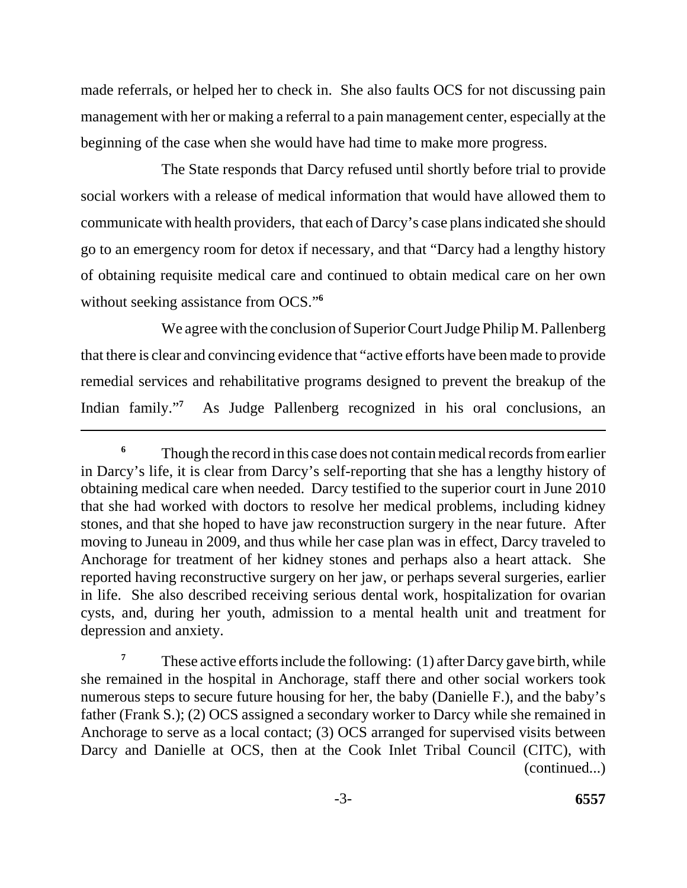made referrals, or helped her to check in. She also faults OCS for not discussing pain management with her or making a referral to a pain management center, especially at the beginning of the case when she would have had time to make more progress.

The State responds that Darcy refused until shortly before trial to provide social workers with a release of medical information that would have allowed them to communicate with health providers, that each of Darcy's case plans indicated she should go to an emergency room for detox if necessary, and that "Darcy had a lengthy history of obtaining requisite medical care and continued to obtain medical care on her own without seeking assistance from OCS."**<sup>6</sup>**

We agree with the conclusion of Superior Court Judge Philip M. Pallenberg that there is clear and convincing evidence that "active efforts have been made to provide remedial services and rehabilitative programs designed to prevent the breakup of the Indian family."<sup>7</sup> As Judge Pallenberg recognized in his oral conclusions, an

**<sup>7</sup>**These active efforts include the following: (1) after Darcy gave birth, while she remained in the hospital in Anchorage, staff there and other social workers took numerous steps to secure future housing for her, the baby (Danielle F.), and the baby's father (Frank S.); (2) OCS assigned a secondary worker to Darcy while she remained in Anchorage to serve as a local contact; (3) OCS arranged for supervised visits between Darcy and Danielle at OCS, then at the Cook Inlet Tribal Council (CITC), with (continued...)

<sup>&</sup>lt;sup>6</sup> Though the record in this case does not contain medical records from earlier in Darcy's life, it is clear from Darcy's self-reporting that she has a lengthy history of obtaining medical care when needed. Darcy testified to the superior court in June 2010 that she had worked with doctors to resolve her medical problems, including kidney stones, and that she hoped to have jaw reconstruction surgery in the near future. After moving to Juneau in 2009, and thus while her case plan was in effect, Darcy traveled to Anchorage for treatment of her kidney stones and perhaps also a heart attack. She reported having reconstructive surgery on her jaw, or perhaps several surgeries, earlier in life. She also described receiving serious dental work, hospitalization for ovarian cysts, and, during her youth, admission to a mental health unit and treatment for depression and anxiety.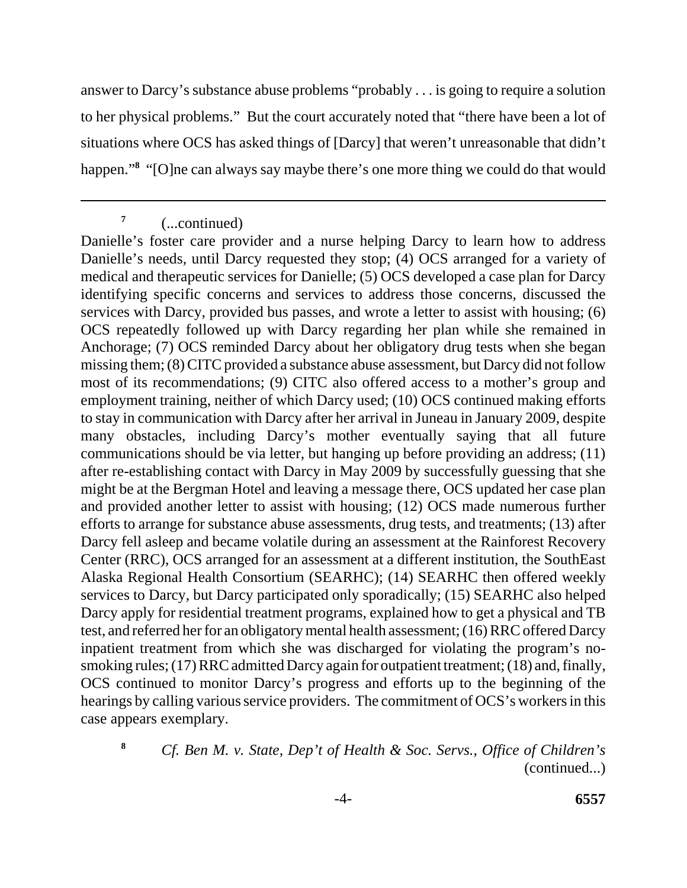answer to Darcy's substance abuse problems "probably . . . is going to require a solution to her physical problems." But the court accurately noted that "there have been a lot of situations where OCS has asked things of [Darcy] that weren't unreasonable that didn't happen."**<sup>8</sup>** "[O]ne can always say maybe there's one more thing we could do that would

**8** 

**<sup>7</sup>**(...continued)

Danielle's foster care provider and a nurse helping Darcy to learn how to address Danielle's needs, until Darcy requested they stop; (4) OCS arranged for a variety of medical and therapeutic services for Danielle; (5) OCS developed a case plan for Darcy identifying specific concerns and services to address those concerns, discussed the services with Darcy, provided bus passes, and wrote a letter to assist with housing; (6) OCS repeatedly followed up with Darcy regarding her plan while she remained in Anchorage; (7) OCS reminded Darcy about her obligatory drug tests when she began missing them; (8) CITC provided a substance abuse assessment, but Darcy did not follow most of its recommendations; (9) CITC also offered access to a mother's group and employment training, neither of which Darcy used; (10) OCS continued making efforts to stay in communication with Darcy after her arrival in Juneau in January 2009, despite many obstacles, including Darcy's mother eventually saying that all future communications should be via letter, but hanging up before providing an address; (11) after re-establishing contact with Darcy in May 2009 by successfully guessing that she might be at the Bergman Hotel and leaving a message there, OCS updated her case plan and provided another letter to assist with housing; (12) OCS made numerous further efforts to arrange for substance abuse assessments, drug tests, and treatments; (13) after Darcy fell asleep and became volatile during an assessment at the Rainforest Recovery Center (RRC), OCS arranged for an assessment at a different institution, the SouthEast Alaska Regional Health Consortium (SEARHC); (14) SEARHC then offered weekly services to Darcy, but Darcy participated only sporadically; (15) SEARHC also helped Darcy apply for residential treatment programs, explained how to get a physical and TB test, and referred her for an obligatory mental health assessment; (16) RRC offered Darcy inpatient treatment from which she was discharged for violating the program's nosmoking rules; (17) RRC admitted Darcy again for outpatient treatment; (18) and, finally, OCS continued to monitor Darcy's progress and efforts up to the beginning of the hearings by calling various service providers. The commitment of OCS's workers in this case appears exemplary.

*Cf. Ben M. v. State, Dep't of Health & Soc. Servs., Office of Children's*  (continued...)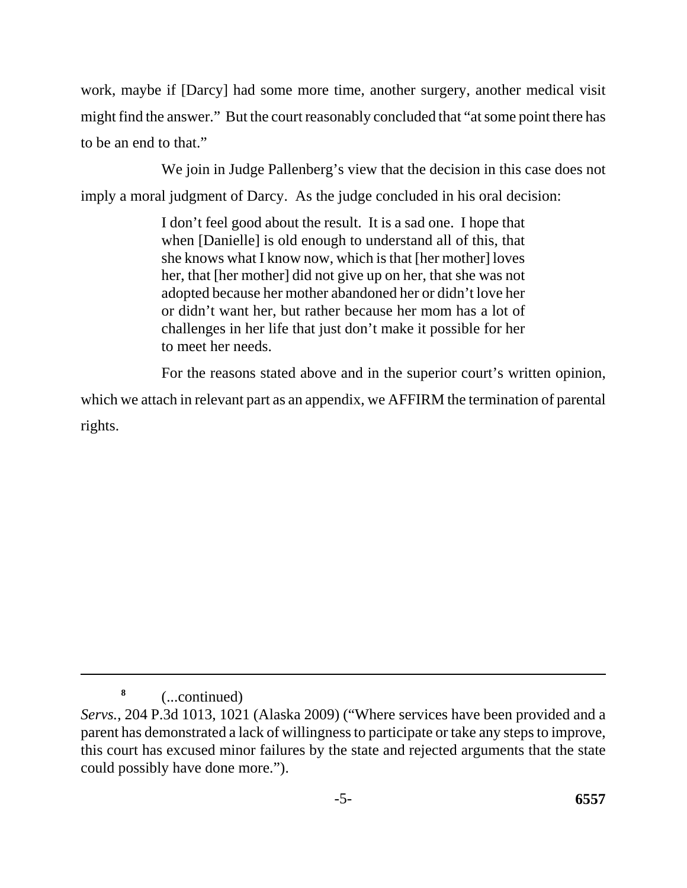work, maybe if [Darcy] had some more time, another surgery, another medical visit might find the answer." But the court reasonably concluded that "at some point there has to be an end to that."

We join in Judge Pallenberg's view that the decision in this case does not imply a moral judgment of Darcy. As the judge concluded in his oral decision:

> I don't feel good about the result. It is a sad one. I hope that when [Danielle] is old enough to understand all of this, that she knows what I know now, which is that [her mother] loves her, that [her mother] did not give up on her, that she was not adopted because her mother abandoned her or didn't love her or didn't want her, but rather because her mom has a lot of challenges in her life that just don't make it possible for her to meet her needs.

For the reasons stated above and in the superior court's written opinion,

which we attach in relevant part as an appendix, we AFFIRM the termination of parental rights.

**<sup>8</sup>**(...continued)

*Servs.*, 204 P.3d 1013, 1021 (Alaska 2009) ("Where services have been provided and a parent has demonstrated a lack of willingness to participate or take any steps to improve, this court has excused minor failures by the state and rejected arguments that the state could possibly have done more.").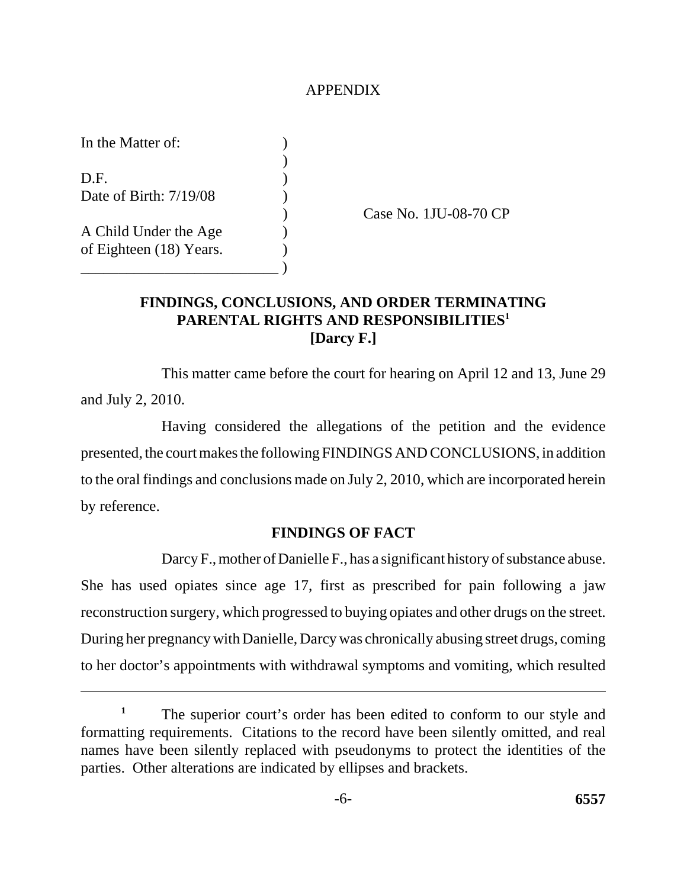### APPENDIX

In the Matter of: ) D.F. ) Date of Birth: 7/19/08 (19) A Child Under the Age ) of Eighteen (18) Years. \_\_\_\_\_\_\_\_\_\_\_\_\_\_\_\_\_\_\_\_\_\_\_\_\_\_ )

) Case No. 1JU-08-70 CP

# **FINDINGS, CONCLUSIONS, AND ORDER TERMINATING PARENTAL RIGHTS AND RESPONSIBILITIES1 [Darcy F.]**

This matter came before the court for hearing on April 12 and 13, June 29 and July 2, 2010.

Having considered the allegations of the petition and the evidence presented, the court makes the following FINDINGS AND CONCLUSIONS, in addition to the oral findings and conclusions made on July 2, 2010, which are incorporated herein by reference.

# **FINDINGS OF FACT**

Darcy F., mother of Danielle F., has a significant history of substance abuse. She has used opiates since age 17, first as prescribed for pain following a jaw reconstruction surgery, which progressed to buying opiates and other drugs on the street. During her pregnancy with Danielle, Darcy was chronically abusing street drugs, coming to her doctor's appointments with withdrawal symptoms and vomiting, which resulted

The superior court's order has been edited to conform to our style and formatting requirements. Citations to the record have been silently omitted, and real names have been silently replaced with pseudonyms to protect the identities of the parties. Other alterations are indicated by ellipses and brackets. **1**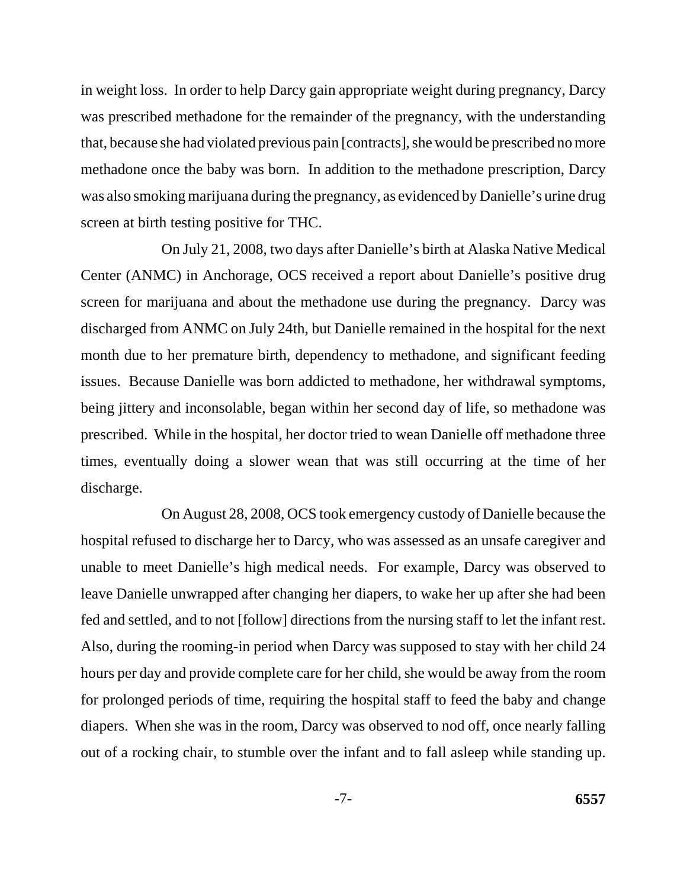in weight loss. In order to help Darcy gain appropriate weight during pregnancy, Darcy was prescribed methadone for the remainder of the pregnancy, with the understanding that, because she had violated previous pain [contracts], she would be prescribed no more methadone once the baby was born. In addition to the methadone prescription, Darcy was also smoking marijuana during the pregnancy, as evidenced by Danielle's urine drug screen at birth testing positive for THC.

On July 21, 2008, two days after Danielle's birth at Alaska Native Medical Center (ANMC) in Anchorage, OCS received a report about Danielle's positive drug screen for marijuana and about the methadone use during the pregnancy. Darcy was discharged from ANMC on July 24th, but Danielle remained in the hospital for the next month due to her premature birth, dependency to methadone, and significant feeding issues. Because Danielle was born addicted to methadone, her withdrawal symptoms, being jittery and inconsolable, began within her second day of life, so methadone was prescribed. While in the hospital, her doctor tried to wean Danielle off methadone three times, eventually doing a slower wean that was still occurring at the time of her discharge.

On August 28, 2008, OCS took emergency custody of Danielle because the hospital refused to discharge her to Darcy, who was assessed as an unsafe caregiver and unable to meet Danielle's high medical needs. For example, Darcy was observed to leave Danielle unwrapped after changing her diapers, to wake her up after she had been fed and settled, and to not [follow] directions from the nursing staff to let the infant rest. Also, during the rooming-in period when Darcy was supposed to stay with her child 24 hours per day and provide complete care for her child, she would be away from the room for prolonged periods of time, requiring the hospital staff to feed the baby and change diapers. When she was in the room, Darcy was observed to nod off, once nearly falling out of a rocking chair, to stumble over the infant and to fall asleep while standing up.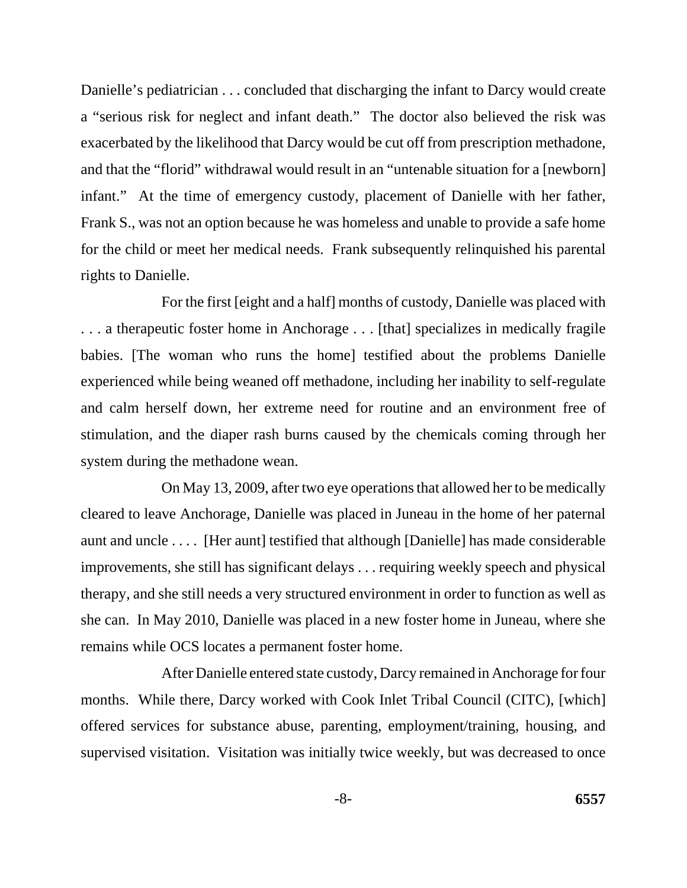Danielle's pediatrician . . . concluded that discharging the infant to Darcy would create a "serious risk for neglect and infant death." The doctor also believed the risk was exacerbated by the likelihood that Darcy would be cut off from prescription methadone, and that the "florid" withdrawal would result in an "untenable situation for a [newborn] infant." At the time of emergency custody, placement of Danielle with her father, Frank S., was not an option because he was homeless and unable to provide a safe home for the child or meet her medical needs. Frank subsequently relinquished his parental rights to Danielle.

For the first [eight and a half] months of custody, Danielle was placed with . . . a therapeutic foster home in Anchorage . . . [that] specializes in medically fragile babies. [The woman who runs the home] testified about the problems Danielle experienced while being weaned off methadone, including her inability to self-regulate and calm herself down, her extreme need for routine and an environment free of stimulation, and the diaper rash burns caused by the chemicals coming through her system during the methadone wean.

On May 13, 2009, after two eye operations that allowed her to be medically cleared to leave Anchorage, Danielle was placed in Juneau in the home of her paternal aunt and uncle . . . . [Her aunt] testified that although [Danielle] has made considerable improvements, she still has significant delays . . . requiring weekly speech and physical therapy, and she still needs a very structured environment in order to function as well as she can. In May 2010, Danielle was placed in a new foster home in Juneau, where she remains while OCS locates a permanent foster home.

After Danielle entered state custody, Darcy remained in Anchorage for four months. While there, Darcy worked with Cook Inlet Tribal Council (CITC), [which] offered services for substance abuse, parenting, employment/training, housing, and supervised visitation. Visitation was initially twice weekly, but was decreased to once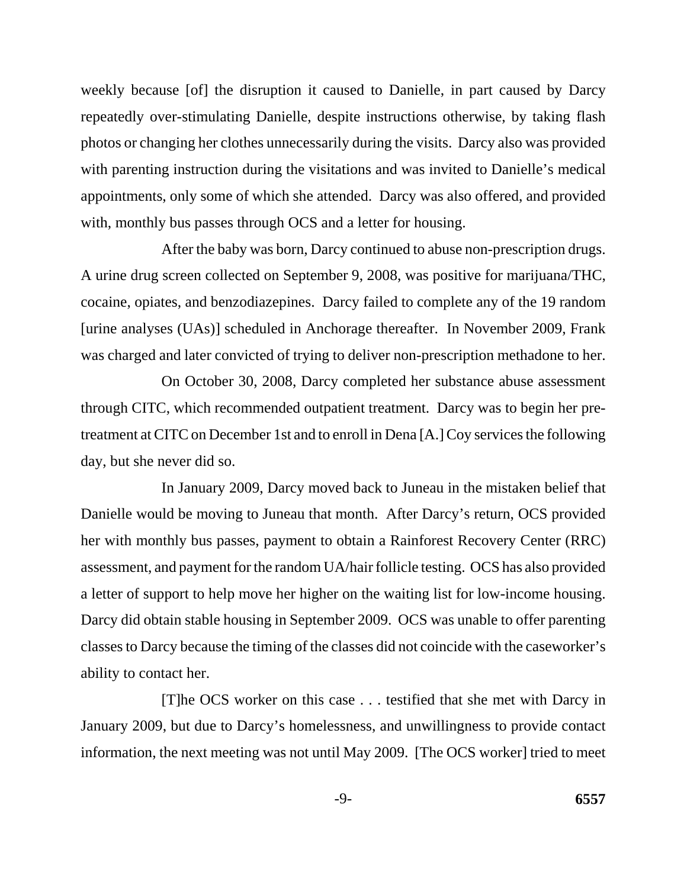weekly because [of] the disruption it caused to Danielle, in part caused by Darcy repeatedly over-stimulating Danielle, despite instructions otherwise, by taking flash photos or changing her clothes unnecessarily during the visits. Darcy also was provided with parenting instruction during the visitations and was invited to Danielle's medical appointments, only some of which she attended. Darcy was also offered, and provided with, monthly bus passes through OCS and a letter for housing.

After the baby was born, Darcy continued to abuse non-prescription drugs. A urine drug screen collected on September 9, 2008, was positive for marijuana/THC, cocaine, opiates, and benzodiazepines. Darcy failed to complete any of the 19 random [urine analyses (UAs)] scheduled in Anchorage thereafter. In November 2009, Frank was charged and later convicted of trying to deliver non-prescription methadone to her.

On October 30, 2008, Darcy completed her substance abuse assessment through CITC, which recommended outpatient treatment. Darcy was to begin her pretreatment at CITC on December 1st and to enroll in Dena [A.] Coy services the following day, but she never did so.

In January 2009, Darcy moved back to Juneau in the mistaken belief that Danielle would be moving to Juneau that month. After Darcy's return, OCS provided her with monthly bus passes, payment to obtain a Rainforest Recovery Center (RRC) assessment, and payment for the random UA/hair follicle testing. OCS has also provided a letter of support to help move her higher on the waiting list for low-income housing. Darcy did obtain stable housing in September 2009. OCS was unable to offer parenting classes to Darcy because the timing of the classes did not coincide with the caseworker's ability to contact her.

[T]he OCS worker on this case . . . testified that she met with Darcy in January 2009, but due to Darcy's homelessness, and unwillingness to provide contact information, the next meeting was not until May 2009. [The OCS worker] tried to meet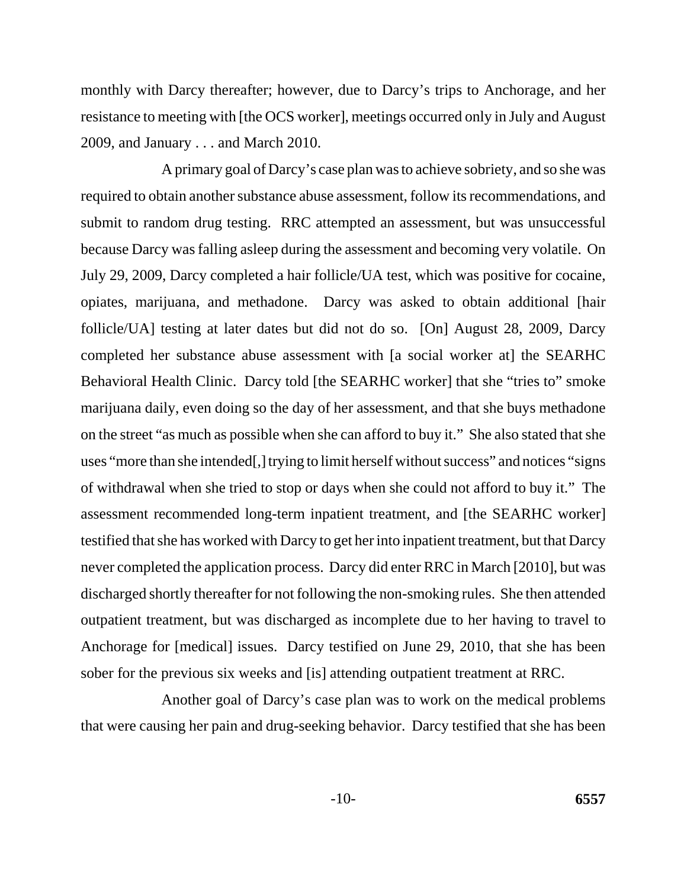monthly with Darcy thereafter; however, due to Darcy's trips to Anchorage, and her resistance to meeting with [the OCS worker], meetings occurred only in July and August 2009, and January . . . and March 2010.

A primary goal of Darcy's case plan was to achieve sobriety, and so she was required to obtain another substance abuse assessment, follow its recommendations, and submit to random drug testing. RRC attempted an assessment, but was unsuccessful because Darcy was falling asleep during the assessment and becoming very volatile. On July 29, 2009, Darcy completed a hair follicle/UA test, which was positive for cocaine, opiates, marijuana, and methadone. Darcy was asked to obtain additional [hair follicle/UA] testing at later dates but did not do so. [On] August 28, 2009, Darcy completed her substance abuse assessment with [a social worker at] the SEARHC Behavioral Health Clinic. Darcy told [the SEARHC worker] that she "tries to" smoke marijuana daily, even doing so the day of her assessment, and that she buys methadone on the street "as much as possible when she can afford to buy it." She also stated that she uses "more than she intended[,] trying to limit herself without success" and notices "signs of withdrawal when she tried to stop or days when she could not afford to buy it." The assessment recommended long-term inpatient treatment, and [the SEARHC worker] testified that she has worked with Darcy to get her into inpatient treatment, but that Darcy never completed the application process. Darcy did enter RRC in March [2010], but was discharged shortly thereafter for not following the non-smoking rules. She then attended outpatient treatment, but was discharged as incomplete due to her having to travel to Anchorage for [medical] issues. Darcy testified on June 29, 2010, that she has been sober for the previous six weeks and [is] attending outpatient treatment at RRC.

Another goal of Darcy's case plan was to work on the medical problems that were causing her pain and drug-seeking behavior. Darcy testified that she has been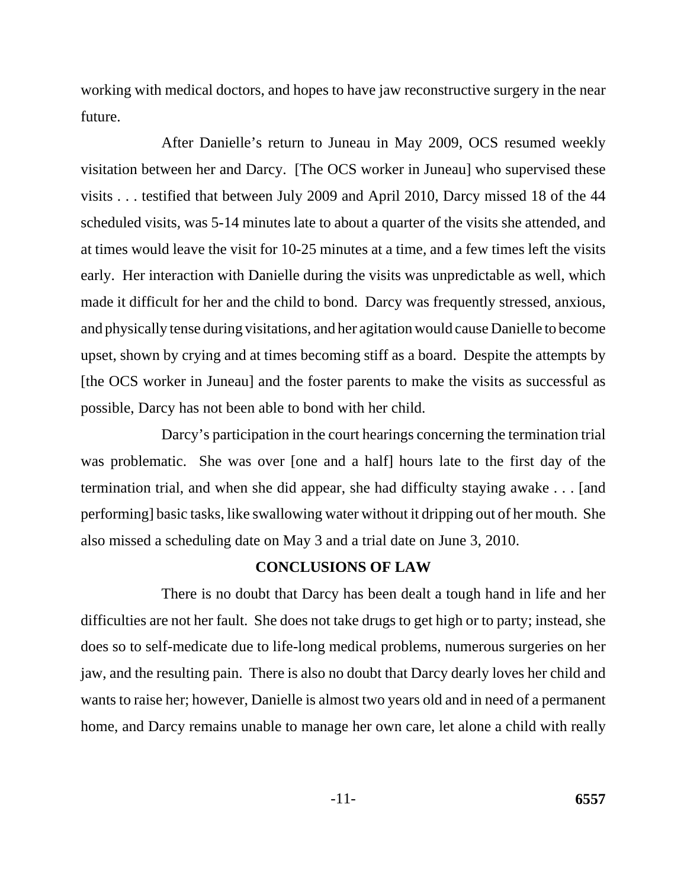working with medical doctors, and hopes to have jaw reconstructive surgery in the near future.

After Danielle's return to Juneau in May 2009, OCS resumed weekly visitation between her and Darcy. [The OCS worker in Juneau] who supervised these visits . . . testified that between July 2009 and April 2010, Darcy missed 18 of the 44 scheduled visits, was 5-14 minutes late to about a quarter of the visits she attended, and at times would leave the visit for 10-25 minutes at a time, and a few times left the visits early. Her interaction with Danielle during the visits was unpredictable as well, which made it difficult for her and the child to bond. Darcy was frequently stressed, anxious, and physically tense during visitations, and her agitation would cause Danielle to become upset, shown by crying and at times becoming stiff as a board. Despite the attempts by [the OCS worker in Juneau] and the foster parents to make the visits as successful as possible, Darcy has not been able to bond with her child.

Darcy's participation in the court hearings concerning the termination trial was problematic. She was over [one and a half] hours late to the first day of the termination trial, and when she did appear, she had difficulty staying awake . . . [and performing] basic tasks, like swallowing water without it dripping out of her mouth. She also missed a scheduling date on May 3 and a trial date on June 3, 2010.

### **CONCLUSIONS OF LAW**

There is no doubt that Darcy has been dealt a tough hand in life and her difficulties are not her fault. She does not take drugs to get high or to party; instead, she does so to self-medicate due to life-long medical problems, numerous surgeries on her jaw, and the resulting pain. There is also no doubt that Darcy dearly loves her child and wants to raise her; however, Danielle is almost two years old and in need of a permanent home, and Darcy remains unable to manage her own care, let alone a child with really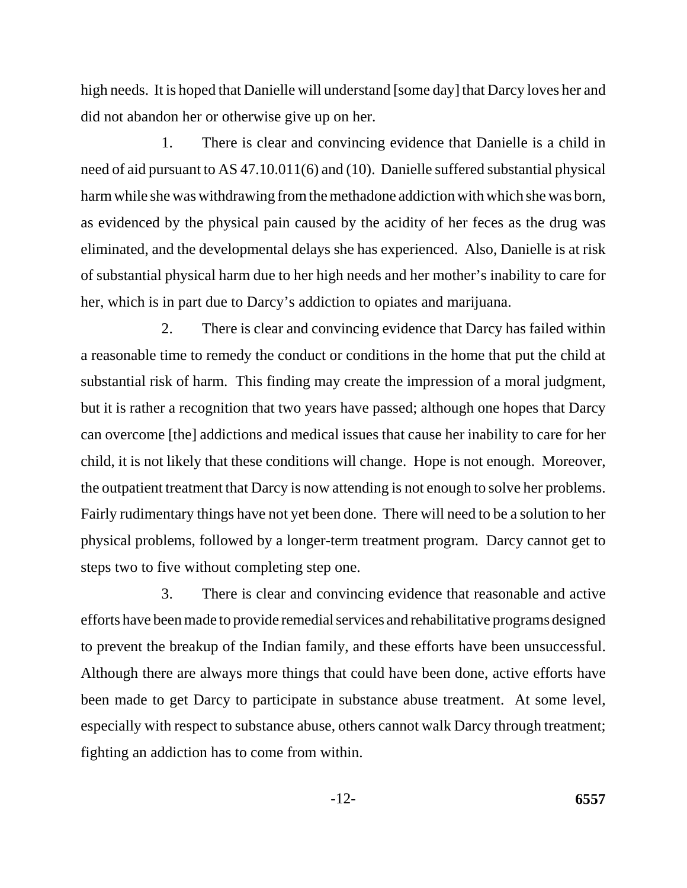high needs. It is hoped that Danielle will understand [some day] that Darcy loves her and did not abandon her or otherwise give up on her.

1. There is clear and convincing evidence that Danielle is a child in need of aid pursuant to AS 47.10.011(6) and (10). Danielle suffered substantial physical harm while she was withdrawing from the methadone addiction with which she was born, as evidenced by the physical pain caused by the acidity of her feces as the drug was eliminated, and the developmental delays she has experienced. Also, Danielle is at risk of substantial physical harm due to her high needs and her mother's inability to care for her, which is in part due to Darcy's addiction to opiates and marijuana.

2. There is clear and convincing evidence that Darcy has failed within a reasonable time to remedy the conduct or conditions in the home that put the child at substantial risk of harm. This finding may create the impression of a moral judgment, but it is rather a recognition that two years have passed; although one hopes that Darcy can overcome [the] addictions and medical issues that cause her inability to care for her child, it is not likely that these conditions will change. Hope is not enough. Moreover, the outpatient treatment that Darcy is now attending is not enough to solve her problems. Fairly rudimentary things have not yet been done. There will need to be a solution to her physical problems, followed by a longer-term treatment program. Darcy cannot get to steps two to five without completing step one.

3. There is clear and convincing evidence that reasonable and active efforts have been made to provide remedial services and rehabilitative programs designed to prevent the breakup of the Indian family, and these efforts have been unsuccessful. Although there are always more things that could have been done, active efforts have been made to get Darcy to participate in substance abuse treatment. At some level, especially with respect to substance abuse, others cannot walk Darcy through treatment; fighting an addiction has to come from within.